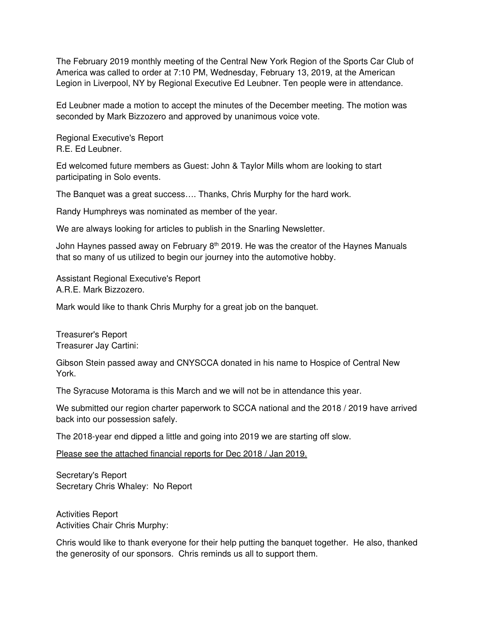The February 2019 monthly meeting of the Central New York Region of the Sports Car Club of America was called to order at 7:10 PM, Wednesday, February 13, 2019, at the American Legion in Liverpool, NY by Regional Executive Ed Leubner. Ten people were in attendance.

Ed Leubner made a motion to accept the minutes of the December meeting. The motion was seconded by Mark Bizzozero and approved by unanimous voice vote.

Regional Executive's Report R.E. Ed Leubner.

Ed welcomed future members as Guest: John & Taylor Mills whom are looking to start participating in Solo events.

The Banquet was a great success…. Thanks, Chris Murphy for the hard work.

Randy Humphreys was nominated as member of the year.

We are always looking for articles to publish in the Snarling Newsletter.

John Haynes passed away on February  $8<sup>th</sup>$  2019. He was the creator of the Haynes Manuals that so many of us utilized to begin our journey into the automotive hobby.

Assistant Regional Executive's Report A.R.E. Mark Bizzozero.

Mark would like to thank Chris Murphy for a great job on the banquet.

Treasurer's Report Treasurer Jay Cartini:

Gibson Stein passed away and CNYSCCA donated in his name to Hospice of Central New York.

The Syracuse Motorama is this March and we will not be in attendance this year.

We submitted our region charter paperwork to SCCA national and the 2018 / 2019 have arrived back into our possession safely.

The 2018-year end dipped a little and going into 2019 we are starting off slow.

Please see the attached financial reports for Dec 2018 / Jan 2019.

Secretary's Report Secretary Chris Whaley: No Report

Activities Report Activities Chair Chris Murphy:

Chris would like to thank everyone for their help putting the banquet together. He also, thanked the generosity of our sponsors. Chris reminds us all to support them.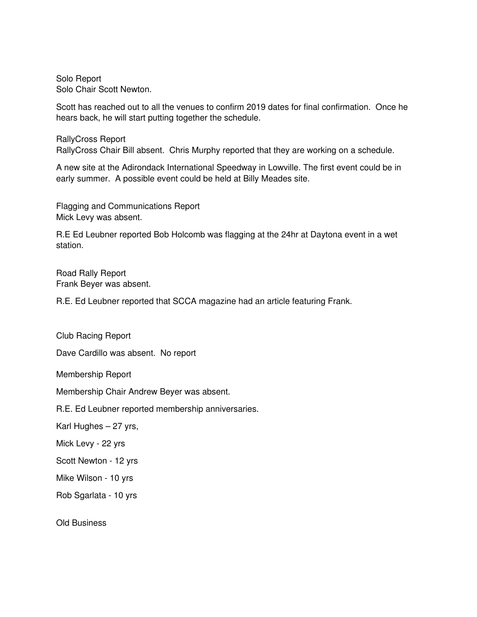Solo Report Solo Chair Scott Newton.

Scott has reached out to all the venues to confirm 2019 dates for final confirmation. Once he hears back, he will start putting together the schedule.

RallyCross Report RallyCross Chair Bill absent. Chris Murphy reported that they are working on a schedule.

A new site at the Adirondack International Speedway in Lowville. The first event could be in early summer. A possible event could be held at Billy Meades site.

Flagging and Communications Report Mick Levy was absent.

R.E Ed Leubner reported Bob Holcomb was flagging at the 24hr at Daytona event in a wet station.

Road Rally Report Frank Beyer was absent.

R.E. Ed Leubner reported that SCCA magazine had an article featuring Frank.

Club Racing Report

Dave Cardillo was absent. No report

Membership Report

Membership Chair Andrew Beyer was absent.

R.E. Ed Leubner reported membership anniversaries.

Karl Hughes – 27 yrs,

Mick Levy - 22 yrs

Scott Newton - 12 yrs

Mike Wilson - 10 yrs

Rob Sgarlata - 10 yrs

Old Business